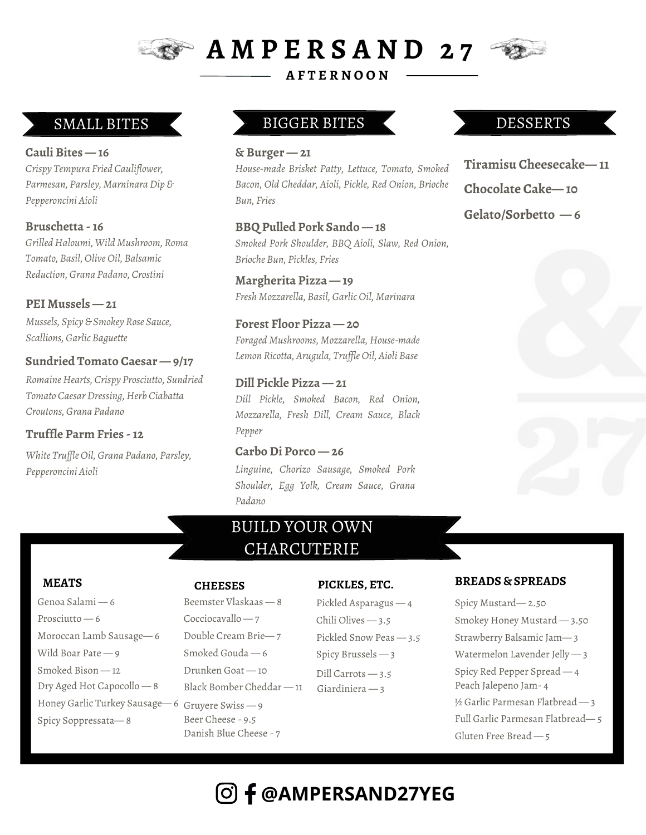

**A M P E R S A N D 2 7**

**A F T E R N O O N**

**Cauli Bites — 16** *Crispy Tempura Fried Cauliflower, Parmesan, Parsley, Marninara Dip & Pepperoncini Aioli*

**Bruschetta -16** *Grilled Haloumi, Wild Mushroom, Roma Tomato, Basil, Olive Oil, Balsamic Reduction, Grana Padano, Crostini*

**PEI Mussels — 21** *Mussels, Spicy & Smokey Rose Sauce, Scallions, Garlic Baguette*

#### **Sundried Tomato Caesar — 9/17**

*Romaine Hearts, Crispy Prosciutto, Sundried Tomato Caesar Dressing, Herb Ciabatta Croutons, Grana Padano*

#### **Truffle Parm Fries -12**

*White Truffle Oil, Grana Padano, Parsley, Pepperoncini Aioli*

## SMALL BITES BIGGER BITES

#### **& Burger — 21**

*House-made Brisket Patty, Lettuce, Tomato, Smoked Bacon, Old Cheddar, Aioli, Pickle, Red Onion, Brioche Bun, Fries*

**BBQ Pulled Pork Sando — 18** *Smoked Pork Shoulder, BBQ Aioli, Slaw, Red Onion, Brioche Bun, Pickles, Fries*

**Margherita Pizza — 19** *Fresh Mozzarella, Basil, Garlic Oil, Marinara*

**Forest Floor Pizza — 20** *Foraged Mushrooms, Mozzarella, House-made Lemon Ricotta, Arugula, Truf le Oil, Aioli Base*

#### **Dill Pickle Pizza — 21** *Dill Pickle, Smoked Bacon, Red Onion, Mozzarella, Fresh Dill, Cream Sauce, Black Pepper*

#### **CarboDi Porco — 26** *Linguine, Chorizo Sausage, Smoked Pork Shoulder, Egg Yolk, Cream Sauce, Grana Padano*

# BUILD YOUR OWN CHARCUTERIE

Genoa Salami — 6 Prosciutto — 6 Moroccan Lamb Sausage— 6 Wild Boar Pate — 9 Smoked Bison — 12 Dry Aged Hot Capocollo — 8 Honey Garlic Turkey Sausage— 6 Gruyere Swiss — 9 Spicy Soppressata— 8

Beemster Vlaskaas — 8 Cocciocavallo — 7 Double Cream Brie— 7 Smoked Gouda — 6 Drunken Goat — 10 Black Bomber Cheddar — 11

Beer Cheese - 9.5 Danish Blue Cheese - 7

#### **CHEESES PICKLES, ETC.**

Pickled Asparagus — 4 Chili Olives — 3.5 Pickled Snow Peas — 3.5 Spicy Brussels — 3 Dill Carrots — 3.5 Giardiniera — 3

# DESSERTS

**Tiramisu Cheesecake— 11 Chocolate Cake— 10**

**Gelato/Sorbetto — 6**



#### **MEATS SPREADS CHEESES PICKLES, ETC. BREADS** & **SPREADS**

Spicy Mustard— 2.50 Smokey Honey Mustard — 3.50 Strawberry Balsamic Jam— 3 Watermelon Lavender Jelly — 3 Spicy Red Pepper Spread — 4 Peach Jalepeno Jam- 4 ½ Garlic Parmesan Flatbread — 3 Full Garlic Parmesan Flatbread— 5 Gluten Free Bread — 5

# **@AMPERSAND27YEG**